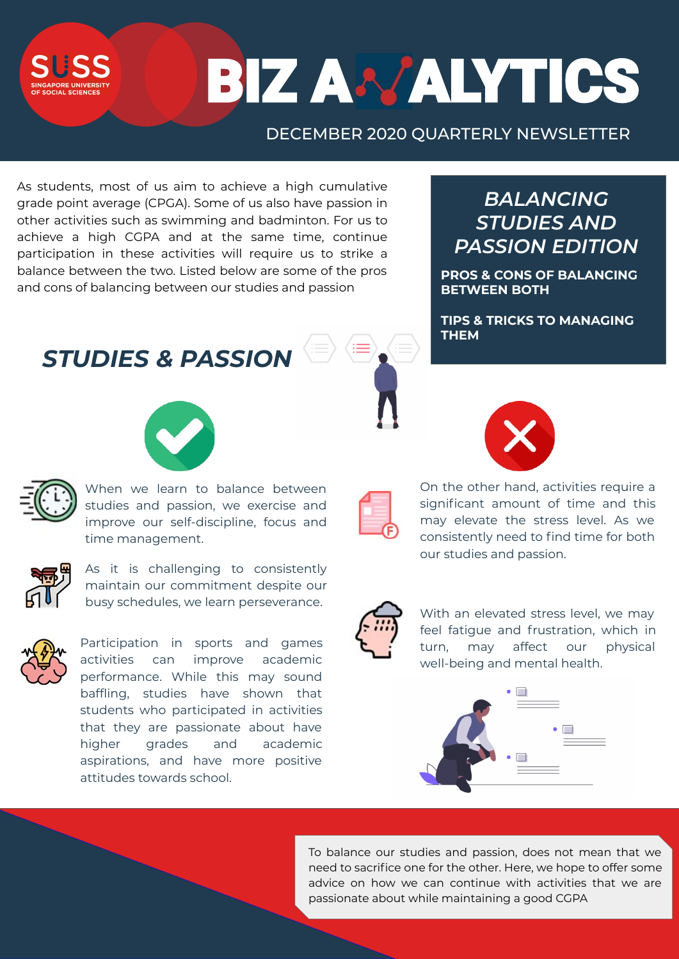SLISS OF SOCIAL SCIENCES

# BIZ ANALYTICS

**PROS & CONS OF BALANCING BETWEEN BOTH**

**TIPS & TRICKS TO MANAGING THEM**

### **BALANCING** *STUDIES AND PASSION EDITION*



When we learn to balance between studies and passion, we exercise and improve our self-discipline, focus and time management.



As it is challenging to consistently maintain our commitment despite our busy schedules, we learn perseverance.



With an elevated stress level, we may feel fatigue and frustration, which in turn, may affect our physical well-being and mental health.



Participation in sports and games activities can improve academic performance. While this may sound baffling, studies have shown that students who participated in activities that they are passionate about have higher grades and academic aspirations, and have more positive attitudes towards school.





On the other hand, activities require a significant amount of time and this may elevate the stress level. As we consistently need to find time for both our studies and passion.



As students, most of us aim to achieve a high cumulative grade point average (CPGA). Some of us also have passion in other activities such as swimming and badminton. For us to achieve a high CGPA and at the same time, continue participation in these activities will require us to strike a balance between the two. Listed below are some of the pros and cons of balancing between our studies and passion

*STUDIES & PASSION*



To balance our studies and passion, does not mean that we need to sacrifice one for the other. Here, we hope to offer some advice on how we can continue with activities that we are passionate about while maintaining a good CGPA

### DECEMBER 2020 QUARTERLY NEWSLETTER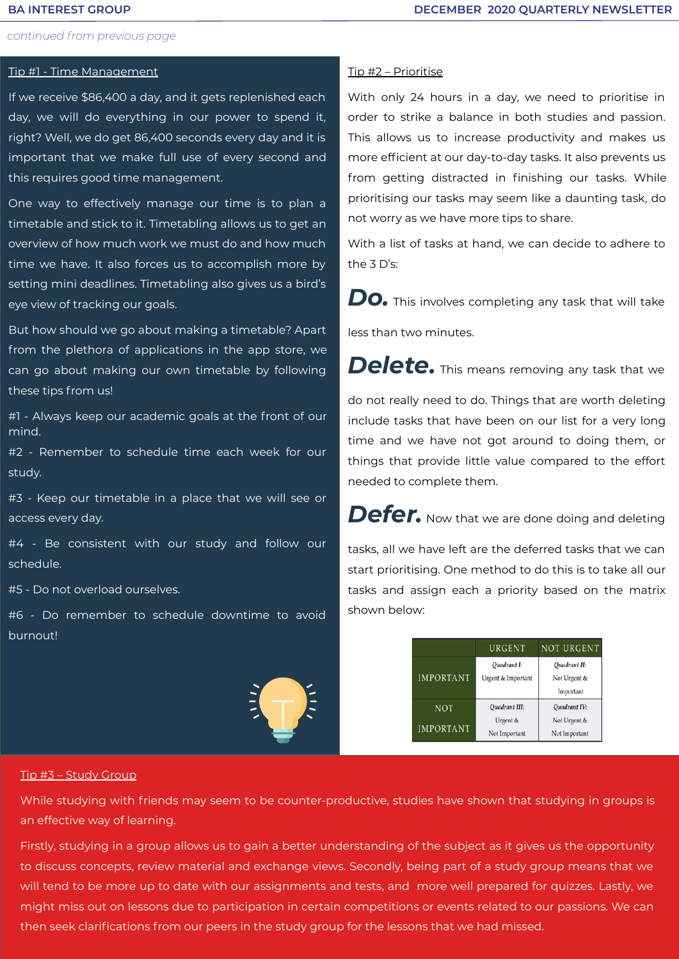### *continued from previous page*

### Tip #1 - Time Management

If we receive \$86,400 a day, and it gets replenished each day, we will do everything in our power to spend it, right? Well, we do get 86,400 seconds every day and it is important that we make full use of every second and this requires good time management.

One way to effectively manage our time is to plan a timetable and stick to it. Timetabling allows us to get an overview of how much work we must do and how much time we have. It also forces us to accomplish more by setting mini deadlines. Timetabling also gives us a bird's eye view of tracking our goals.

But how should we go about making a timetable? Apart from the plethora of applications in the app store, we can go about making our own timetable by following these tips from us!

#1 - Always keep our academic goals at the front of our mind.

#2 - Remember to schedule time each week for our study.

#3 - Keep our timetable in a place that we will see or access every day.

#4 - Be consistent with our study and follow our schedule.

#5 - Do not overload ourselves.

#6 - Do remember to schedule downtime to avoid burnout!

### Tip #2 – Prioritise

With only 24 hours in a day, we need to prioritise in order to strike a balance in both studies and passion. This allows us to increase productivity and makes us more efficient at our day-to-day tasks. It also prevents us from getting distracted in finishing our tasks. While prioritising our tasks may seem like a daunting task, do not worry as we have more tips to share.

With a list of tasks at hand, we can decide to adhere to the 3 D's:

*Do.* This involves completing any task that will take

less than two minutes.

Delete. This means removing any task that we

do not really need to do. Things that are worth deleting

include tasks that have been on our list for a very long time and we have not got around to doing them, or things that provide little value compared to the effort needed to complete them.

Defer. Now that we are done doing and deleting

tasks, all we have left are the deferred tasks that we can start prioritising. One method to do this is to take all our tasks and assign each a priority based on the matrix shown below:

|                  | URGENT                            | NOT URGENT                                |
|------------------|-----------------------------------|-------------------------------------------|
| IMPORTANT        | Quadrant I:<br>Urgent & Important | Quadrant II:<br>Not Urgent &<br>Important |
| NOT              | Quadrant III:                     | Quadrant IV:                              |
| <b>IMPORTANT</b> | Urgent &<br>Not Important         | Not Urgent &<br>Not Important             |

### Tip #3 – Study Group

While studying with friends may seem to be counter-productive, studies have shown that studying in groups is

### an effective way of learning.

Firstly, studying in a group allows us to gain a better understanding of the subject as it gives us the opportunity

to discuss concepts, review material and exchange views. Secondly, being part of a study group means that we

will tend to be more up to date with our assignments and tests, and more well prepared for quizzes. Lastly, we

might miss out on lessons due to participation in certain competitions or events related to our passions. We can

then seek clarifications from our peers in the study group for the lessons that we had missed.